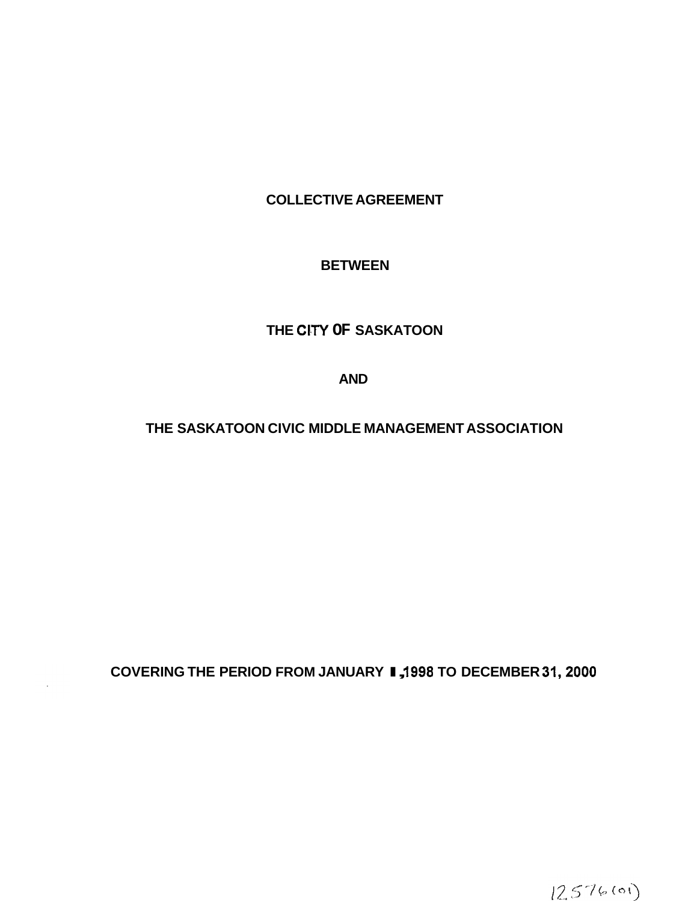**COLLECTIVE AGREEMENT** 

# **BETWEEN**

# **THE CITY OF SASKATOON**

**AND** 

**THE SASKATOON CIVIC MIDDLE MANAGEMENT ASSOCIATION** 

**COVERING THE PERIOD FROM JANUARY I, 1998 TO DECEMBER 31,2000** 

 $12576(0)$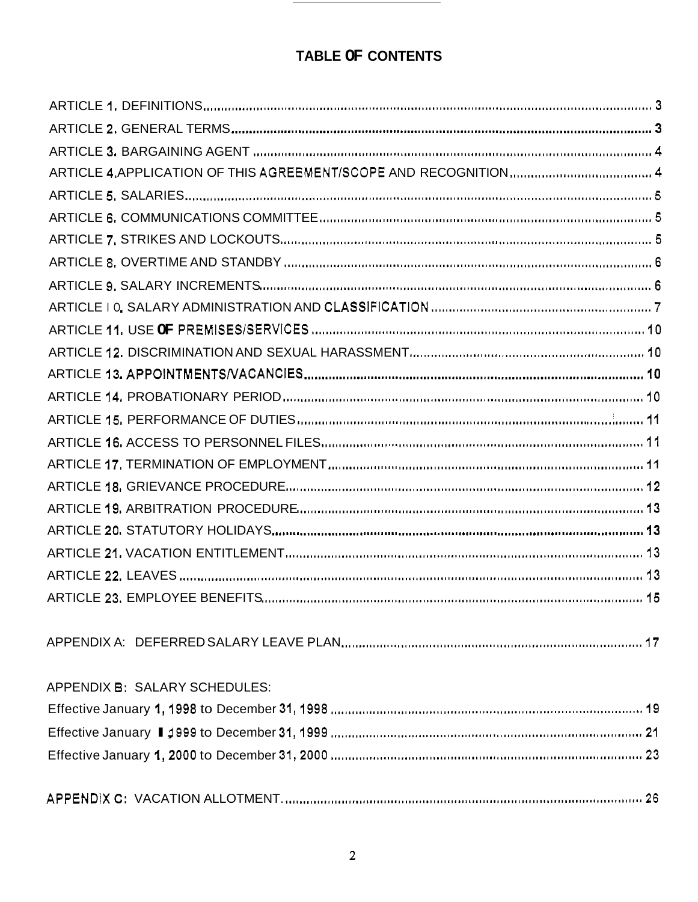# **TABLE OF CONTENTS**

 $\overline{\phantom{0}}$ 

| APPENDIX B: SALARY SCHEDULES: |
|-------------------------------|
|                               |
|                               |
|                               |
|                               |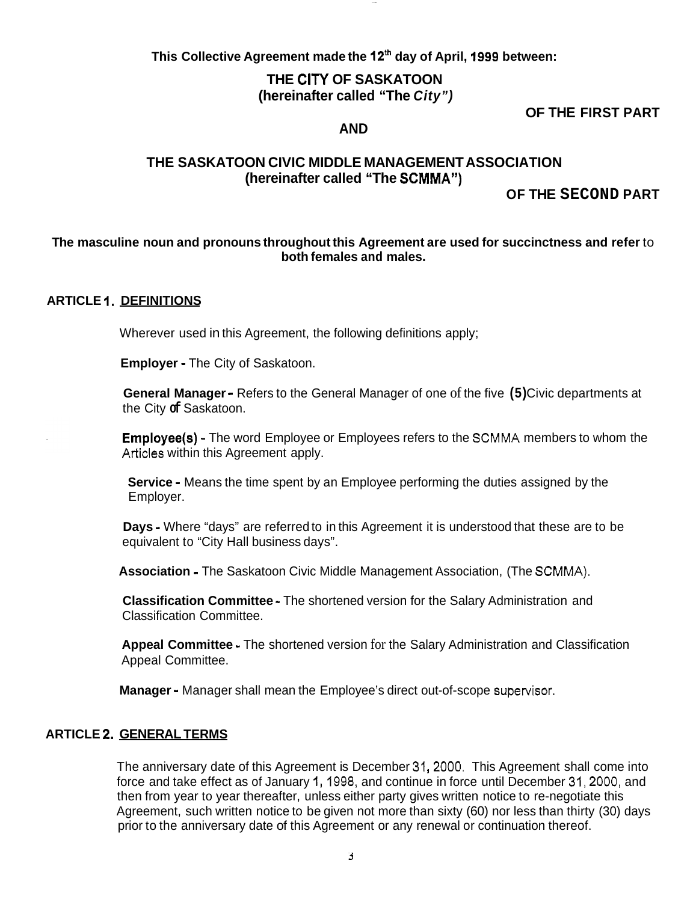**This Collective Agreement made the 12\* day of April, 1999 between:** 

**THE CITY OF SASKATOON (hereinafter called "The** *City")* 

**OF THE FIRST PART** 

### **AND**

# **THE SASKATOON CIVIC MIDDLE MANAGEMENT ASSOCIATION (hereinafter called "The SCMMA")**

**OF THE SECOND PART** 

#### **The masculine noun and pronouns throughout this Agreement are used for succinctness and refer** to **both females and males.**

#### **ARTICLE** I. **DEFINITIONS**

Wherever used in this Agreement, the following definitions apply;

**Employer** - The City of Saskatoon.

**General Manager** - Refers to the General Manager of one of the five **(5)** Civic departments at the City **of** Saskatoon.

**Employee(s)** - The word Employee or Employees refers to the SCMMA members to whom the Articles within this Agreement apply.

**Service** - Means the time spent by an Employee performing the duties assigned by the Employer.

**Days** - Where "days" are referred to in this Agreement it is understood that these are to be equivalent to "City Hall business days".

**Association** - The Saskatoon Civic Middle Management Association, (The SCMMA).

**Classification Committee** - The shortened version for the Salary Administration and Classification Committee.

**Appeal Committee** - The shortened version for the Salary Administration and Classification Appeal Committee.

**Manager** - Manager shall mean the Employee's direct out-of-scope supervisor.

#### **ARTICLE 2. GENERAL TERMS**

The anniversary date of this Agreement is December 31 , 2000. This Agreement shall come into force and take effect as of January 1, 1998, and continue in force until December 31, 2000, and then from year to year thereafter, unless either party gives written notice to re-negotiate this Agreement, such written notice to be given not more than sixty (60) nor less than thirty (30) days prior to the anniversary date of this Agreement or any renewal or continuation thereof.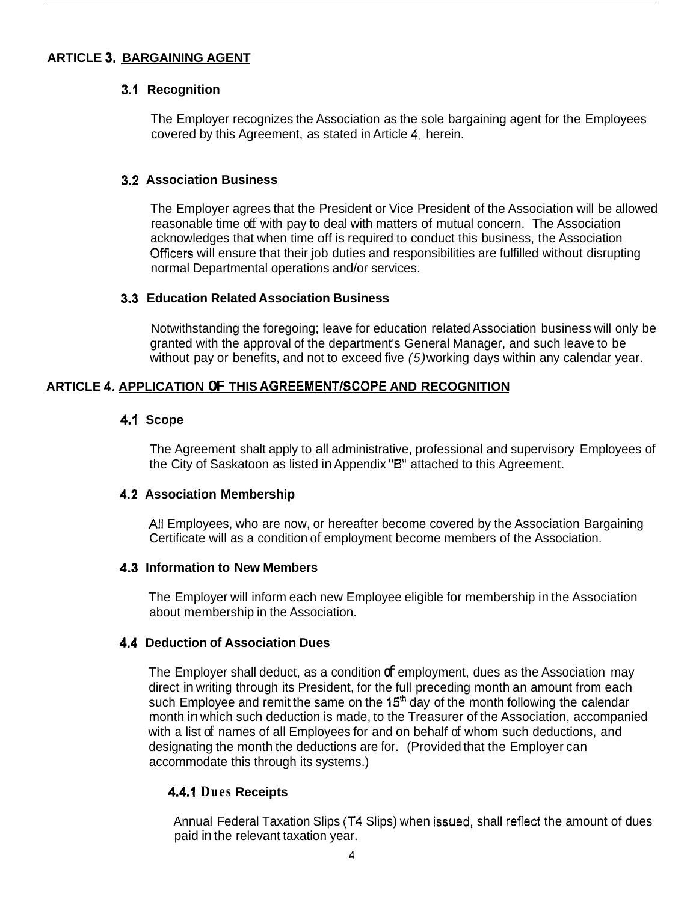## **ARTICLE 3. BARGAINING AGENT**

#### **3.1 Recognition**

The Employer recognizes the Association as the sole bargaining agent for the Employees covered by this Agreement, as stated in Article 4. herein.

#### **3.2 Association Business**

The Employer agrees that the President or Vice President of the Association will be allowed reasonable time off with pay to deal with matters of mutual concern. The Association acknowledges that when time off is required to conduct this business, the Association Officers will ensure that their job duties and responsibilities are fulfilled without disrupting normal Departmental operations and/or services.

### **3.3 Education Related Association Business**

Notwithstanding the foregoing; leave for education related Association business will only be granted with the approval of the department's General Manager, and such leave to be without pay or benefits, and not to exceed five *(5)* working days within any calendar year.

# **ARTICLE 4. APPLICATION OF THIS AGREEMENT/SCOPE AND RECOGNITION**

### **4.1 Scope**

The Agreement shalt apply to all administrative, professional and supervisory Employees of the City of Saskatoon as listed in Appendix "B" attached to this Agreement.

#### **4.2 Association Membership**

All Employees, who are now, or hereafter become covered by the Association Bargaining Certificate will as a condition of employment become members of the Association.

#### **4.3 Information to New Members**

The Employer will inform each new Employee eligible for membership in the Association about membership in the Association.

#### **4.4 Deduction of Association Dues**

The Employer shall deduct, as a condition **of** employment, dues as the Association may direct in writing through its President, for the full preceding month an amount from each such Employee and remit the same on the  $15<sup>th</sup>$  day of the month following the calendar month in which such deduction is made, to the Treasurer of the Association, accompanied with a list of names of all Employees for and on behalf of whom such deductions, and designating the month the deductions are for. (Provided that the Employer can accommodate this through its systems.)

# **4.4.1 Dues Receipts**

Annual Federal Taxation Slips (T4 Slips) when issued, shall refiect the amount of dues paid in the relevant taxation year.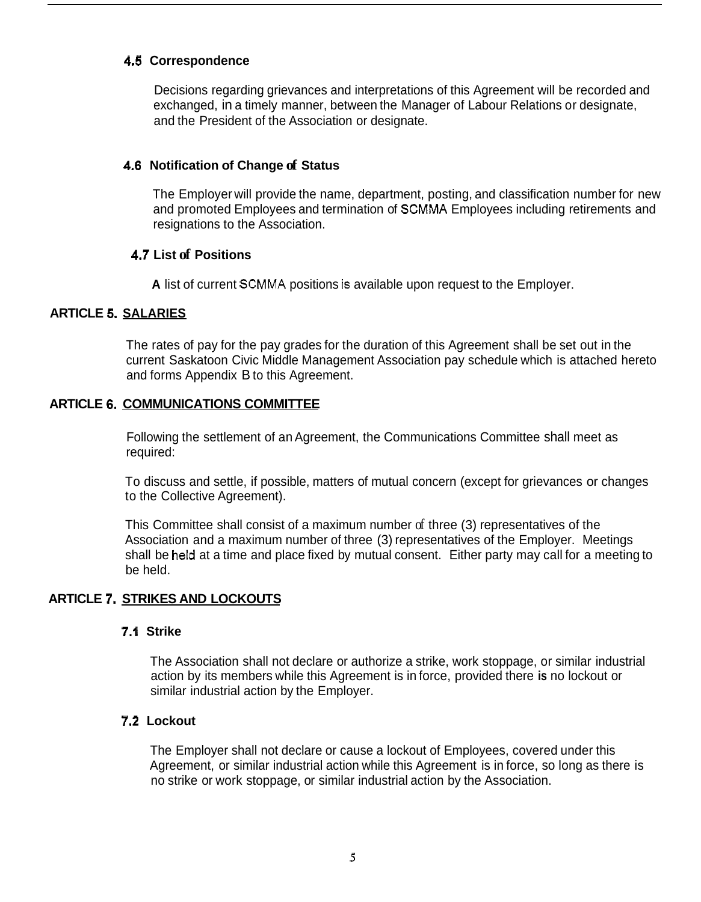### **4.5 Correspondence**

Decisions regarding grievances and interpretations of this Agreement will be recorded and exchanged, in a timely manner, between the Manager of Labour Relations or designate, and the President of the Association or designate.

## **4.6 Notification of Change of Status**

The Employer will provide the name, department, posting, and classification number for new and promoted Employees and termination of SCMMA Employees including retirements and resignations to the Association.

### **4.7 List of Positions**

**A** list of current SCMMA positions is available upon request to the Employer.

# **ARTICLE 5. SALARIES**

The rates of pay for the pay grades for the duration of this Agreement shall be set out in the current Saskatoon Civic Middle Management Association pay schedule which is attached hereto and forms Appendix B to this Agreement.

# **ARTICLE 6. COMMUNICATIONS COMMITTEE**

Following the settlement of an Agreement, the Communications Committee shall meet as required:

To discuss and settle, if possible, matters of mutual concern (except for grievances or changes to the Collective Agreement).

This Committee shall consist of a maximum number of three (3) representatives of the Association and a maximum number of three (3) representatives of the Employer. Meetings shall be held at a time and place fixed by mutual consent. Either party may call for a meeting to be held.

# **ARTICLE 7. STRIKES AND LOCKOUTS**

#### **7.1 Strike**

The Association shall not declare or authorize a strike, work stoppage, or similar industrial action by its members while this Agreement is in force, provided there **is** no lockout or similar industrial action by the Employer.

# **7.2 Lockout**

The Employer shall not declare or cause a lockout of Employees, covered under this Agreement, or similar industrial action while this Agreement is in force, so long as there is no strike or work stoppage, or similar industrial action by the Association.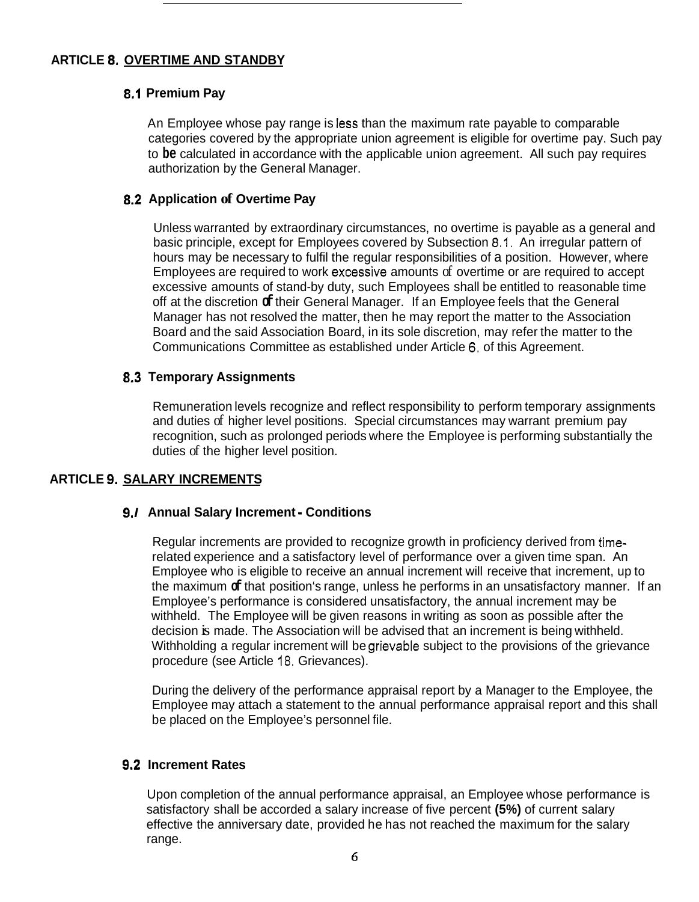# **ARTICLE 8. OVERTIME AND STANDBY**

### **8,l Premium Pay**

An Employee whose pay range is less than the maximum rate payable to comparable categories covered by the appropriate union agreement is eligible for overtime pay. Such pay to **be** calculated in accordance with the applicable union agreement. All such pay requires authorization by the General Manager.

# **8.2 Application of Overtime Pay**

Unless warranted by extraordinary circumstances, no overtime is payable as a general and basic principle, except for Employees covered by Subsection 8.1. An irregular pattern of hours may be necessary to fulfil the regular responsibilities of a position. However, where Employees are required to work excessive amounts of overtime or are required to accept excessive amounts of stand-by duty, such Employees shall be entitled to reasonable time off at the discretion **of** their General Manager. If an Employee feels that the General Manager has not resolved the matter, then he may report the matter to the Association Board and the said Association Board, in its sole discretion, may refer the matter to the Communications Committee as established under Article **6.** of this Agreement.

# **8.3 Temporary Assignments**

Remuneration levels recognize and reflect responsibility to perform temporary assignments and duties of higher level positions. Special circumstances may warrant premium pay recognition, such as prolonged periods where the Employee is performing substantially the duties of the higher level position.

# **ARTICLE 9. SALARY INCREMENTS**

## **9.** *I*  **Annual Salary Increment** - **Conditions**

Regular increments are provided to recognize growth in proficiency derived from timerelated experience and a satisfactory level of performance over a given time span. An Employee who is eligible to receive an annual increment will receive that increment, up to the maximum **of** that position's range, unless he performs in an unsatisfactory manner. If an Employee's performance is considered unsatisfactory, the annual increment may be withheld. The Employee will be given reasons in writing as soon as possible after the decision is made. The Association will be advised that an increment is being withheld. Withholding a regular increment will be grievable subject to the provisions of the grievance procedure (see Article 18. Grievances).

During the delivery of the performance appraisal report by a Manager to the Employee, the Employee may attach a statement to the annual performance appraisal report and this shall be placed on the Employee's personnel file.

#### **9.2 Increment Rates**

Upon completion of the annual performance appraisal, an Employee whose performance is satisfactory shall be accorded a salary increase of five percent **(5%)** of current salary effective the anniversary date, provided he has not reached the maximum for the salary range.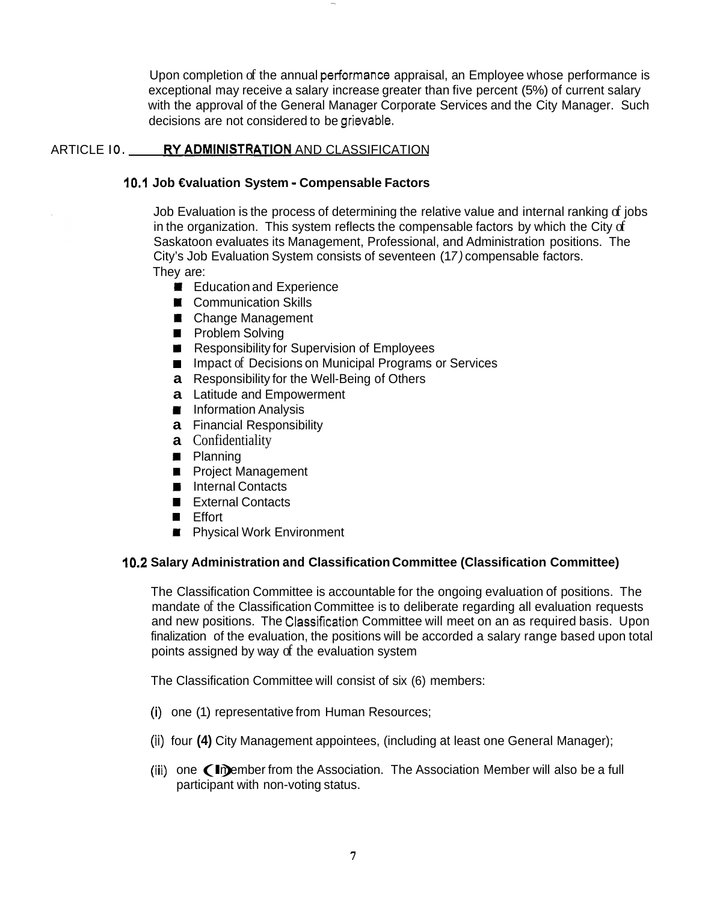Upon completion of the annual petformance appraisal, an Employee whose performance is exceptional may receive a salary increase greater than five percent (5%) of current salary with the approval of the General Manager Corporate Services and the City Manager. Such decisions are not considered to be grievable.

#### ARTICLE **IO.** RY ADMINISTRATION AND CLASSIFICATION

#### **10.1 Job €valuation System** - **Compensable Factors**

Job Evaluation is the process of determining the relative value and internal ranking of jobs in the organization. This system reflects the compensable factors by which the City of Saskatoon evaluates its Management, Professional, and Administration positions. The City's Job Evaluation System consists of seventeen (1 *7)* compensable factors. They are:

- **E** Education and Experience
- $\blacksquare$  Communication Skills
- **B** Change Management
- **a** Problem Solving
- Responsibility for Supervision of Employees
- Impact of Decisions on Municipal Programs or Services
- **a** Responsibility for the Well-Being of Others
- **a** Latitude and Empowerment
- $\blacksquare$  Information Analysis
- **a** Financial Responsibility
- **a** Confidentiality
- **Planning**
- **E** Project Management
- Internal Contacts
- External Contacts
- **E**ffort
- **E** Physical Work Environment

#### **10.2 Salary Administration and Classification Committee (Classification Committee)**

The Classification Committee is accountable for the ongoing evaluation of positions. The mandate of the Classification Committee is to deliberate regarding all evaluation requests and new positions. The Classification Committee will meet on an as required basis. Upon finalization of the evaluation, the positions will be accorded a salary range based upon total points assigned by way of the evaluation system

The Classification Committee will consist of six (6) members:

- (i) one (1) representative from Human Resources;
- (ii) four **(4)** City Management appointees, (including at least one General Manager);
- (iii) one  $\bigcap$  In member from the Association. The Association Member will also be a full participant with non-voting status.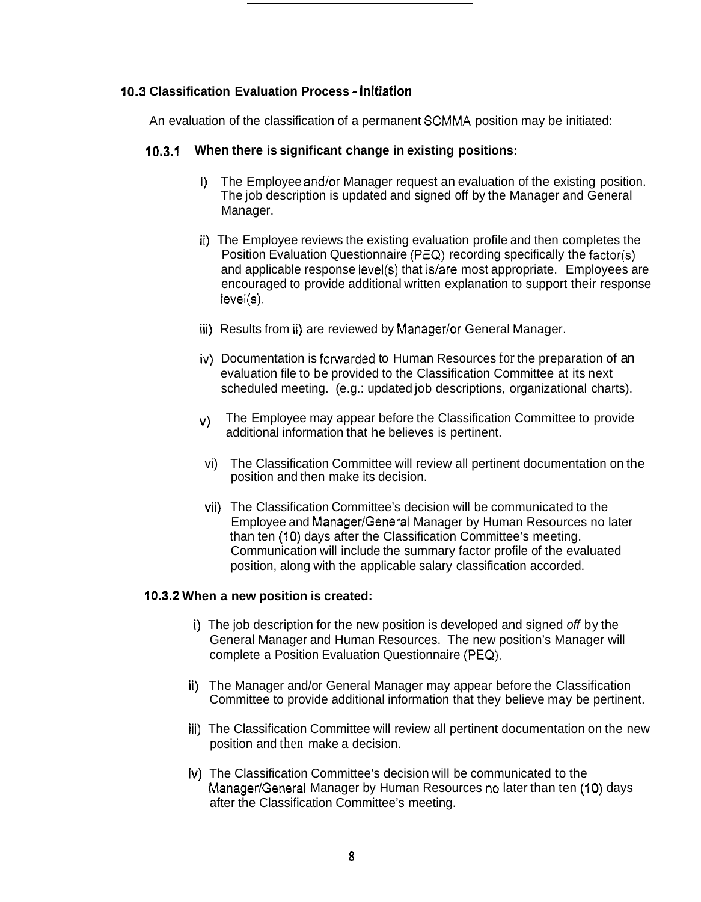#### **10.3 Classification Evaluation Process** - **Initiation**

An evaluation of the classification of a permanent SCMMA position may be initiated:

#### **10,3.1 When there is significant change in existing positions:**

- i) The Employee and/or Manager request an evaluation of the existing position. The job description is updated and signed off by the Manager and General Manager.
- ii) The Employee reviews the existing evaluation profile and then completes the Position Evaluation Questionnaire (PEQ) recording specifically the factor(s) and applicable response level(s) that is/are most appropriate. Employees are encouraged to provide additional written explanation to support their response level(s).
- iii) Results from ii) are reviewed by Manager/or General Manager.
- iv) Documentation is forwarded to Human Resources for the preparation of an evaluation file to be provided to the Classification Committee at its next scheduled meeting. (e.g.: updated job descriptions, organizational charts).
- The Employee may appear before the Classification Committee to provide  $\mathsf{v}$ ) The Employee may appear before the Classificatio<br>additional information that he believes is pertinent.
- vi) The Classification Committee will review all pertinent documentation on the position and then make its decision.
- vii) The Classification Committee's decision will be communicated to the Employee and ManagerlGeneral Manager by Human Resources no later than ten (IO) days after the Classification Committee's meeting. Communication will include the summary factor profile of the evaluated position, along with the applicable salary classification accorded.

#### **10.3.2 When a new position is created:**

- i) The job description for the new position is developed and signed *off* by the General Manager and Human Resources. The new position's Manager will complete a Position Evaluation Questionnaire (PEQ).
- ii) The Manager and/or General Manager may appear before the Classification Committee to provide additional information that they believe may be pertinent.
- iii) The Classification Committee will review all pertinent documentation on the new position and then make a decision.
- iv) The Classification Committee's decision will be communicated to the Manager/General Manager by Human Resources no later than ten (10) days after the Classification Committee's meeting.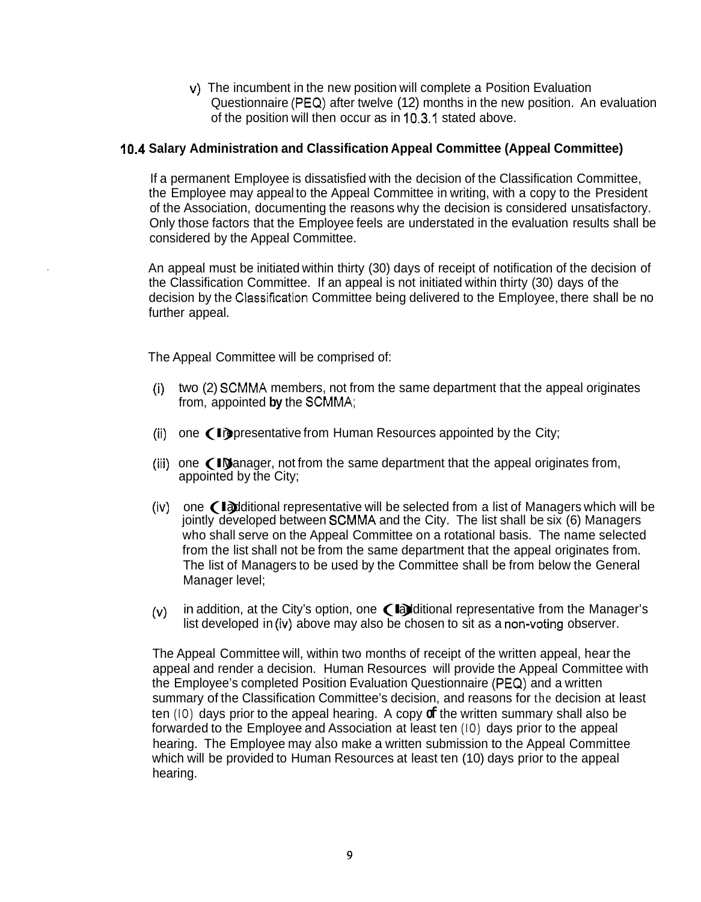v) The incumbent in the new position will complete a Position Evaluation Questionnaire (PEQ) after twelve (12) months in the new position. An evaluation of the position will then occur as in 10.3.1 stated above.

#### **10.4 Salary Administration and Classification Appeal Committee (Appeal Committee)**

If a permanent Employee is dissatisfied with the decision of the Classification Committee, the Employee may appeal to the Appeal Committee in writing, with a copy to the President of the Association, documenting the reasons why the decision is considered unsatisfactory. Only those factors that the Employee feels are understated in the evaluation results shall be considered by the Appeal Committee.

An appeal must be initiated within thirty (30) days of receipt of notification of the decision of the Classification Committee. If an appeal is not initiated within thirty (30) days of the decision by the Classification Committee being delivered to the Employee, there shall be no further appeal.

The Appeal Committee will be comprised of:

- (i) two (2) SCMMA members, not from the same department that the appeal originates from, appointed **by** the SCMMA;
- (ii) one  $\bigcap$  **I** representative from Human Resources appointed by the City;
- (iii) one  $\bigcap$  IN Manager, not from the same department that the appeal originates from, appointed by the City;
- (iv) one  $\epsilon$  additional representative will be selected from a list of Managers which will be jointly developed between SCMMA and the City. The list shall be six (6) Managers who shall serve on the Appeal Committee on a rotational basis. The name selected from the list shall not be from the same department that the appeal originates from. The list of Managers to be used by the Committee shall be from below the General Manager level;
- $(y)$  in addition, at the City's option, one  $\bigcup$  additional representative from the Manager's list developed in (iv) above may also be chosen to sit as a non-voting observer.

The Appeal Committee will, within two months of receipt of the written appeal, hear the appeal and render a decision. Human Resources will provide the Appeal Committee with the Employee's completed Position Evaluation Questionnaire (PEQ) and a written summary of the Classification Committee's decision, and reasons for the decision at least ten (IO) days prior to the appeal hearing. A copy **of** the written summary shall also be forwarded to the Employee and Association at least ten (IO) days prior to the appeal hearing. The Employee may also make a written submission to the Appeal Committee which will be provided to Human Resources at least ten (10) days prior to the appeal hearing.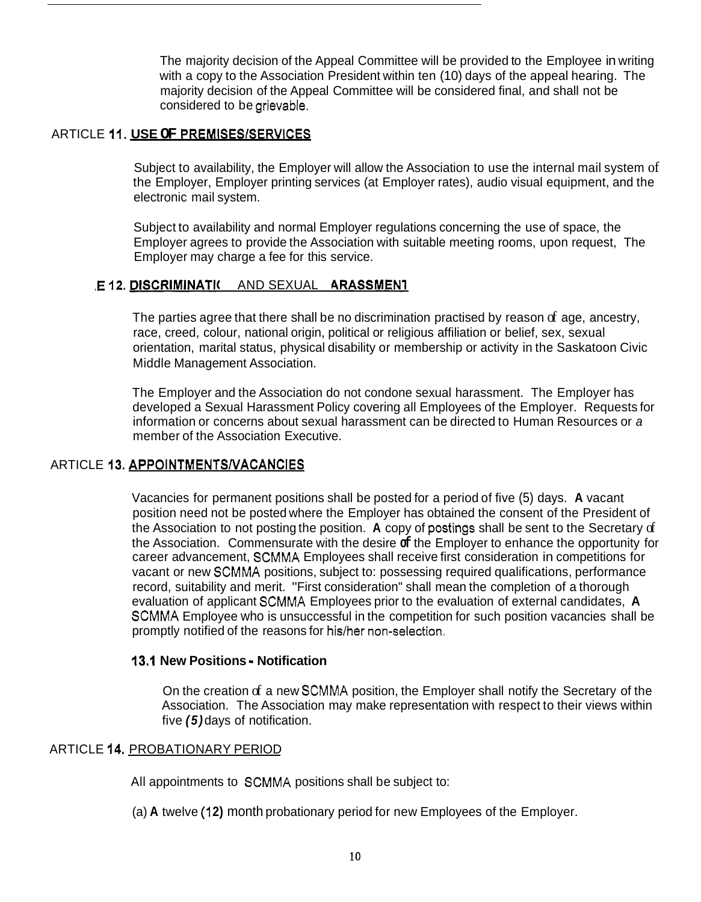The majority decision of the Appeal Committee will be provided to the Employee in writing with a copy to the Association President within ten (10) days of the appeal hearing. The majority decision of the Appeal Committee will be considered final, and shall not be considered to be grievable.

#### ARTICLE II. **USE OF** PREMISESISERVICES

Subject to availability, the Employer will allow the Association to use the internal mail system of the Employer, Employer printing services (at Employer rates), audio visual equipment, and the electronic mail system.

Subject to availability and normal Employer regulations concerning the use of space, the Employer agrees to provide the Association with suitable meeting rooms, upon request, The Employer may charge a fee for this service.

### **E 12. DISCRIMINATI( AND SEXUAL ARASSMENT**

The parties agree that there shall be no discrimination practised by reason of age, ancestry, race, creed, colour, national origin, political or religious affiliation or belief, sex, sexual orientation, marital status, physical disability or membership or activity in the Saskatoon Civic Middle Management Association.

The Employer and the Association do not condone sexual harassment. The Employer has developed a Sexual Harassment Policy covering all Employees of the Employer. Requests for information or concerns about sexual harassment can be directed to Human Resources or *a*  member of the Association Executive.

# ARTICLE **13.** APPOINTMENTSNACANCIES

Vacancies for permanent positions shall be posted for a period of five (5) days. **A** vacant position need not be posted where the Employer has obtained the consent of the President of the Association to not posting the position. **A** copy of postings shall be sent to the Secretary of the Association. Commensurate with the desire **of** the Employer to enhance the opportunity for career advancement, SCMMA Employees shall receive first consideration in competitions for vacant or new SCMMA positions, subject to: possessing required qualifications, performance record, suitability and merit. "First consideration" shall mean the completion of a thorough evaluation of applicant SCMMA Employees prior to the evaluation of external candidates, **A**  SCMMA Employee who is unsuccessful in the competition for such position vacancies shall be promptly notified of the reasons for his/her non-selection.

#### **13.1 New Positions** - **Notification**

On the creation of a new SCMMA position, the Employer shall notify the Secretary of the Association. The Association may make representation with respect to their views within five *(5)* days of notification.

#### ARTICLE **14.** PROBATIONARY PERIOD

All appointments to SCMMA positions shall be subject to:

(a) **A** twelve (12) month probationary period for new Employees of the Employer.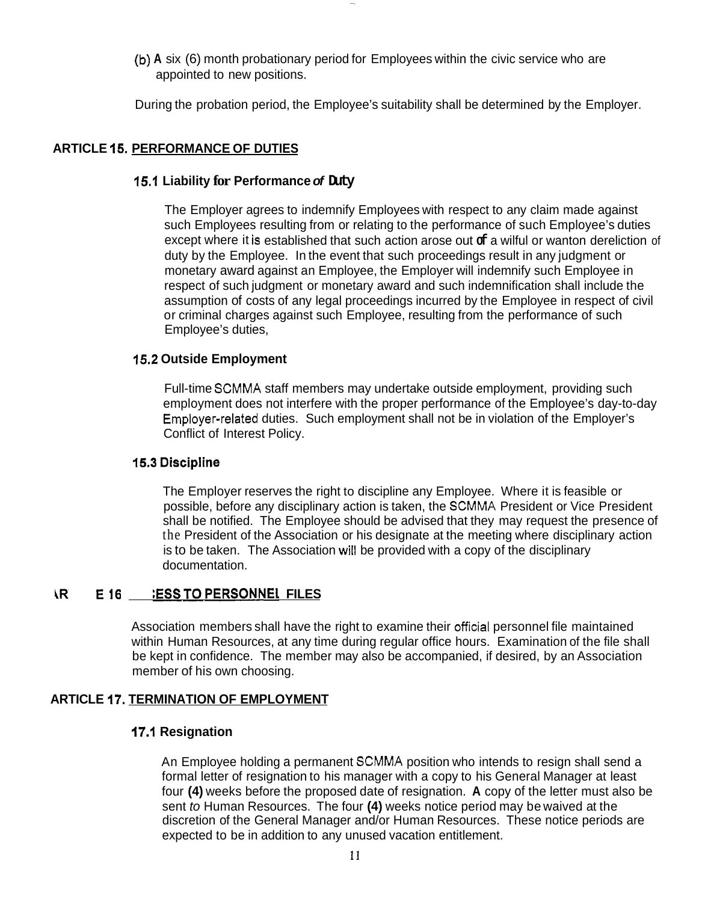**(b) A** six (6) month probationary period for Employees within the civic service who are appointed to new positions.

During the probation period, the Employee's suitability shall be determined by the Employer.

### **ARTICLE 15. PERFORMANCE OF DUTIES**

#### **15.1 Liability for Performance** *of* **Duty**

The Employer agrees to indemnify Employees with respect to any claim made against such Employees resulting from or relating to the performance of such Employee's duties except where it is established that such action arose out **of** a wilful or wanton dereliction of duty by the Employee. In the event that such proceedings result in any judgment or monetary award against an Employee, the Employer will indemnify such Employee in respect of such judgment or monetary award and such indemnification shall include the assumption of costs of any legal proceedings incurred by the Employee in respect of civil or criminal charges against such Employee, resulting from the performance of such Employee's duties,

#### **15.2 Outside Employment**

Full-time SCMMA staff members may undertake outside employment, providing such employment does not interfere with the proper performance of the Employee's day-to-day Employer-related duties. Such employment shall not be in violation of the Employer's Conflict of Interest Policy.

#### **15.3 Discipline**

The Employer reserves the right to discipline any Employee. Where it is feasible or possible, before any disciplinary action is taken, the SCMMA President or Vice President shall be notified. The Employee should be advised that they may request the presence of the President of the Association or his designate at the meeting where disciplinary action is to be taken. The Association will be provided with a copy of the disciplinary documentation.

## **ARTICLE 16 HD**: ESS TO PERSONNEL FILES

Association members shall have the right to examine their official personnel file maintained within Human Resources, at any time during regular office hours. Examination of the file shall be kept in confidence. The member may also be accompanied, if desired, by an Association member of his own choosing.

#### **ARTICLE 17. TERMINATION OF EMPLOYMENT**

#### **17.1 Resignation**

An Employee holding a permanent SCMMA position who intends to resign shall send a formal letter of resignation to his manager with a copy to his General Manager at least four **(4)** weeks before the proposed date of resignation. **A** copy of the letter must also be sent *to* Human Resources. The four **(4)** weeks notice period may be waived at the discretion of the General Manager and/or Human Resources. These notice periods are expected to be in addition to any unused vacation entitlement.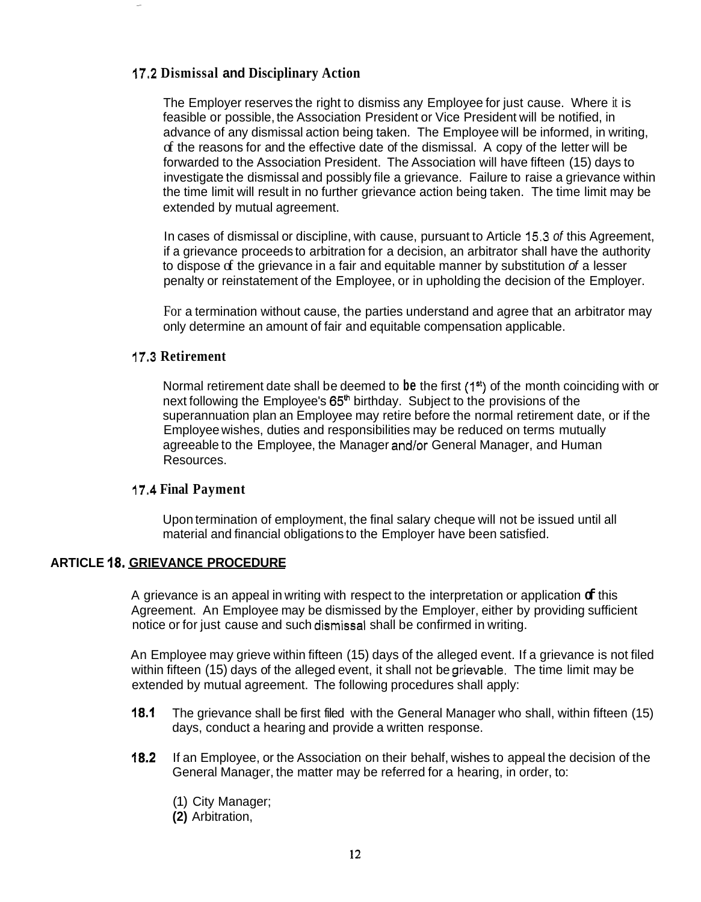### **17,2 Dismissal and Disciplinary Action**

The Employer reserves the right to dismiss any Employee for just cause. Where it is feasible or possible, the Association President or Vice President will be notified, in advance of any dismissal action being taken. The Employee will be informed, in writing, of the reasons for and the effective date of the dismissal. A copy of the letter will be forwarded to the Association President. The Association will have fifteen (15) days to investigate the dismissal and possibly file a grievance. Failure to raise a grievance within the time limit will result in no further grievance action being taken. The time limit may be extended by mutual agreement.

In cases of dismissal or discipline, with cause, pursuant to Article 15.3 *of* this Agreement, if a grievance proceeds to arbitration for a decision, an arbitrator shall have the authority to dispose of the grievance in a fair and equitable manner by substitution *of* a lesser penalty or reinstatement of the Employee, or in upholding the decision of the Employer.

For a termination without cause, the parties understand and agree that an arbitrator may only determine an amount of fair and equitable compensation applicable.

#### **17.3 Retirement**

Normal retirement date shall be deemed to be the first (1<sup>st</sup>) of the month coinciding with or next following the Employee's 65<sup>th</sup> birthday. Subject to the provisions of the superannuation plan an Employee may retire before the normal retirement date, or if the Employee wishes, duties and responsibilities may be reduced on terms mutually agreeable to the Employee, the Manager and/or General Manager, and Human Resources.

#### **17.4 Final Payment**

Upon termination of employment, the final salary cheque will not be issued until all material and financial obligations to the Employer have been satisfied.

#### **ARTICLE 18. GRIEVANCE PROCEDURE**

A grievance is an appeal in writing with respect to the interpretation or application **of** this Agreement. An Employee may be dismissed by the Employer, either by providing sufficient notice or for just cause and such dismissal shall be confirmed in writing.

An Employee may grieve within fifteen (15) days of the alleged event. If a grievance is not filed within fifteen (15) days of the alleged event, it shall not be grievable. The time limit may be extended by mutual agreement. The following procedures shall apply:

- **18.4** The grievance shall be first filed with the General Manager who shall, within fifteen (15) days, conduct a hearing and provide a written response.
- **18.2** If an Employee, or the Association on their behalf, wishes to appeal the decision of the General Manager, the matter may be referred for a hearing, in order, to:
	- (1) City Manager;
	- **(2)** Arbitration,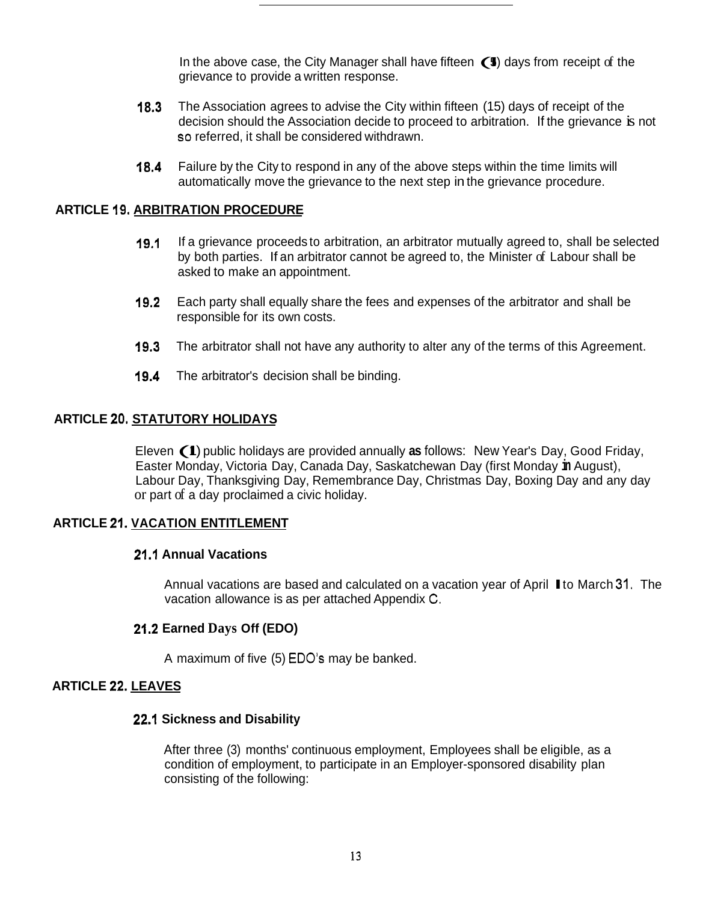In the above case, the City Manager shall have fifteen  $\langle \cdot \rangle$  days from receipt of the grievance to provide a written response.

- **18.3** The Association agrees to advise the City within fifteen (15) days of receipt of the decision should the Association decide to proceed to arbitration. If the grievance is not **SO** referred, it shall be considered withdrawn.
- **18.4** Failure by the City to respond in any of the above steps within the time limits will automatically move the grievance to the next step in the grievance procedure.

#### **ARTICLE 19. ARBITRATION PROCEDURE**

- **19.1** If a grievance proceeds to arbitration, an arbitrator mutually agreed to, shall be selected by both parties. If an arbitrator cannot be agreed to, the Minister of Labour shall be asked to make an appointment.
- **19.2** Each party shall equally share the fees and expenses of the arbitrator and shall be responsible for its own costs.
- **19.3** The arbitrator shall not have any authority to alter any of the terms of this Agreement.
- **19.4** The arbitrator's decision shall be binding.

#### **ARTICLE 20. STATUTORY HOLIDAYS**

Eleven (1) public holidays are provided annually **as** follows: New Year's Day, Good Friday, Easter Monday, Victoria Day, Canada Day, Saskatchewan Day (first Monday **in** August), Labour Day, Thanksgiving Day, Remembrance Day, Christmas Day, Boxing Day and any day or part of a day proclaimed a civic holiday.

#### **ARTICLE 21. VACATION ENTITLEMENT**

#### **21.1 Annual Vacations**

Annual vacations are based and calculated on a vacation year of April I to March **31.** The vacation allowance is as per attached Appendix C.

#### **21.2 Earned Days Off (EDO)**

A maximum of five (5) EDO'S may be banked.

#### **ARTICLE 22. LEAVES**

#### **22.1 Sickness and Disability**

After three (3) months' continuous employment, Employees shall be eligible, as a condition of employment, to participate in an Employer-sponsored disability plan consisting of the following: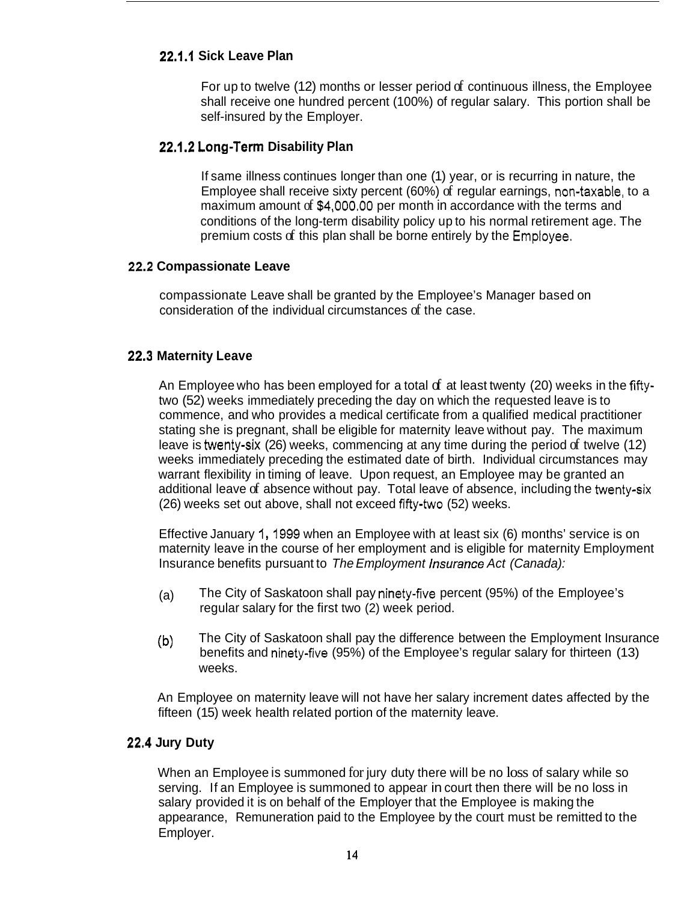# **22.1.1 Sick Leave Plan**

For up to twelve (12) months or lesser period of continuous illness, the Employee shall receive one hundred percent (100%) of regular salary. This portion shall be self-insured by the Employer.

# **22.1.2 Long-Term Disability Plan**

If same illness continues longer than one (1) year, or is recurring in nature, the Employee shall receive sixty percent (60%) of regular earnings, non-taxable, to a maximum amount of \$4,000.00 per month in accordance with the terms and conditions of the long-term disability policy up to his normal retirement age. The premium costs of this plan shall be borne entirely by the Emptoyee.

# **22.2 Compassionate Leave**

compassionate Leave shall be granted by the Employee's Manager based on consideration of the individual circumstances of the case.

# **22.3 Maternity Leave**

An Employee who has been employed for a total of at least twenty (20) weeks in the fiftytwo (52) weeks immediately preceding the day on which the requested leave is to commence, and who provides a medical certificate from a qualified medical practitioner stating she is pregnant, shall be eligible for maternity leave without pay. The maximum leave is twenty-six (26) weeks, commencing at any time during the period of twelve (12) weeks immediately preceding the estimated date of birth. Individual circumstances may warrant flexibility in timing of leave. Upon request, an Employee may be granted an additional leave of absence without pay. Total leave of absence, including the twenty-six (26) weeks set out above, shall not exceed fifty-two (52) weeks.

Effective January 1 , I999 when an Employee with at least six (6) months' service is on maternity leave in the course of her employment and is eligible for maternity Employment Insurance benefits pursuant to *The Employment lnsurance Act (Canada):* 

- (a) The City of Saskatoon shall pay ninety-five percent (95%) of the Employee's regular salary for the first two (2) week period.
- (b) The City of Saskatoon shall pay the difference between the Employment Insurance benefits and ninety-five (95%) of the Employee's regular salary for thirteen (13) weeks.

An Employee on maternity leave will not have her salary increment dates affected by the fifteen (15) week health related portion of the maternity leave.

# **22.4 Jury Duty**

When an Employee is summoned for jury duty there will be no loss of salary while so serving. If an Employee is summoned to appear in court then there will be no loss in salary provided it is on behalf of the Employer that the Employee is making the appearance, Remuneration paid to the Employee by the court must be remitted to the Employer.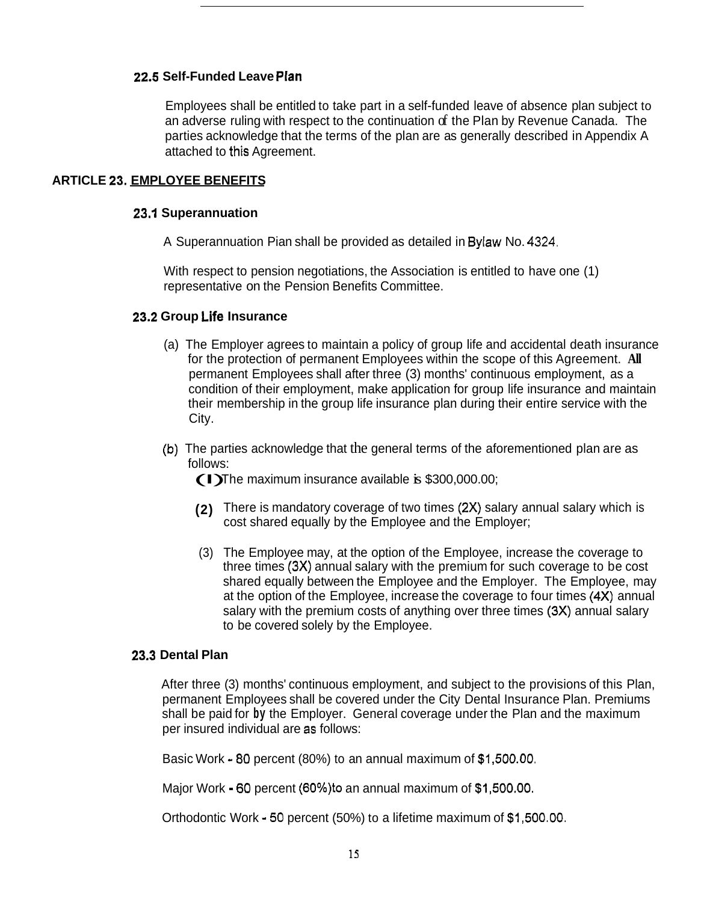#### **22.5 Self-Funded Leave Pfan**

Employees shall be entitled to take part in a self-funded leave of absence plan subject to an adverse ruling with respect to the continuation of the Plan by Revenue Canada. The parties acknowledge that the terms of the plan are as generally described in Appendix A attached to this Agreement.

#### **ARTICLE 23. EMPLOYEE BENEFITS**

#### **23.** *I* **Superannuation**

A Superannuation Pian shall be provided as detailed in Bylaw No. 4324.

With respect to pension negotiations, the Association is entitled to have one (1) representative on the Pension Benefits Committee.

#### **23.2 Group Life Insurance**

- (a) The Employer agrees to maintain a policy of group life and accidental death insurance for the protection of permanent Employees within the scope of this Agreement. **All**  permanent Employees shall after three (3) months' continuous employment, as a condition of their employment, make application for group life insurance and maintain their membership in the group life insurance plan during their entire service with the City.
- (b) The parties acknowledge that the general terms of the aforementioned plan are as follows:

(I) The maximum insurance available is \$300,000.00;

- **(2)** There is mandatory coverage of two times (2X) salary annual salary which is cost shared equally by the Employee and the Employer;
- (3) The Employee may, at the option of the Employee, increase the coverage to three times (3X) annual salary with the premium for such coverage to be cost shared equally between the Employee and the Employer. The Employee, may at the option of the Employee, increase the coverage to four times **(4X)** annual salary with the premium costs of anything over three times (3X) annual salary to be covered solely by the Employee.

#### **23.3 Dental Plan**

After three (3) months' continuous employment, and subject to the provisions of this Plan, permanent Employees shall be covered under the City Dental Insurance Plan. Premiums shall be paid for **by** the Employer. General coverage under the Plan and the maximum per insured individual are **as** follows:

Basic Work - 80 percent (80%) to an annual maximum of \$1,500.00.

Major Work - **60** percent (60%)to an annual maximum of \$1,500.00.

Orthodontic Work - 50 percent (50%) to a lifetime maximum of \$1,500.00.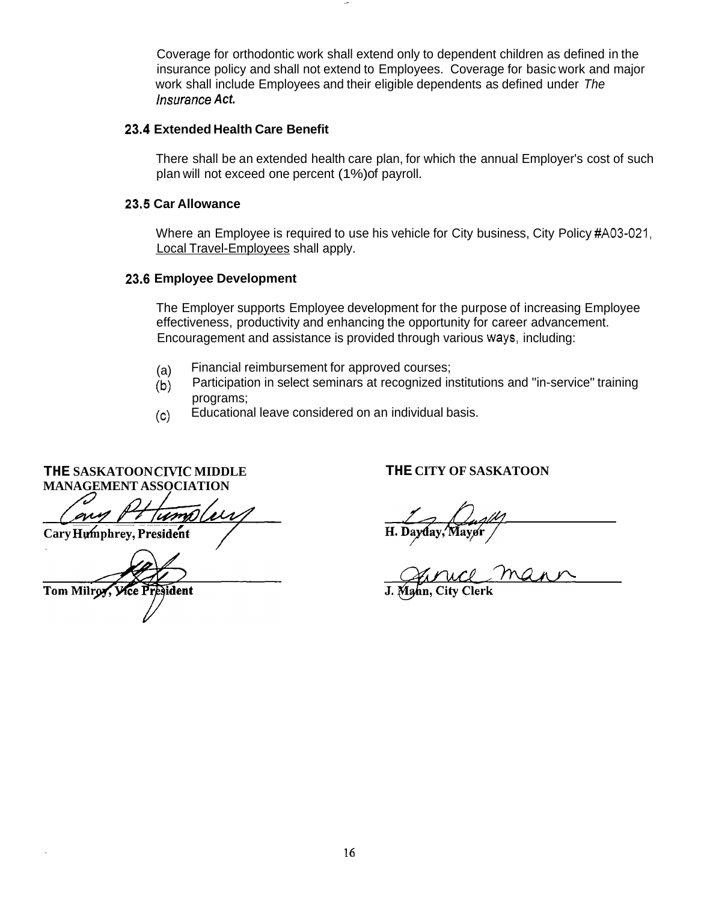Coverage for orthodontic work shall extend only to dependent children as defined in the insurance policy and shall not extend to Employees. Coverage for basic work and major work shall include Employees and their eligible dependents as defined under *The Insurance Act.* 

#### **23.4 Extended Health Care Benefit**

There shall be an extended health care plan, for which the annual Employer's cost of such plan will not exceed one percent (1%) of payroll.

#### **23.5 Car Allowance**

Where an Employee is required to use his vehicle for City business, City Policy #A03-021, Local Travel-Employees shall apply.

#### **23.6 Employee Development**

The Employer supports Employee development for the purpose of increasing Employee effectiveness, productivity and enhancing the opportunity for career advancement. Encouragement and assistance is provided through various ways, including:

- (a) Financial reimbursement for approved courses;
- (b) Participation in select seminars at recognized institutions and "in-service" training programs;
- (c) Educational leave considered on an individual basis.

**THE SASKATOON CIVIC MIDDLE MANAGEMENT ASSOCIATION** 

 $\mathcal{L}% _{M_{1},M_{2}}^{\alpha,\beta}(\varepsilon)=\mathcal{L}_{M_{1},M_{2}}^{\alpha,\beta}(\varepsilon)$ **Cary Humphrey, President** 

WANAGEWENT ASSOCIATION<br>
Cary Humphrey, President<br>
Tom Milroy, Vice President

#### **THE CITY OF SASKATOON**

H. Davday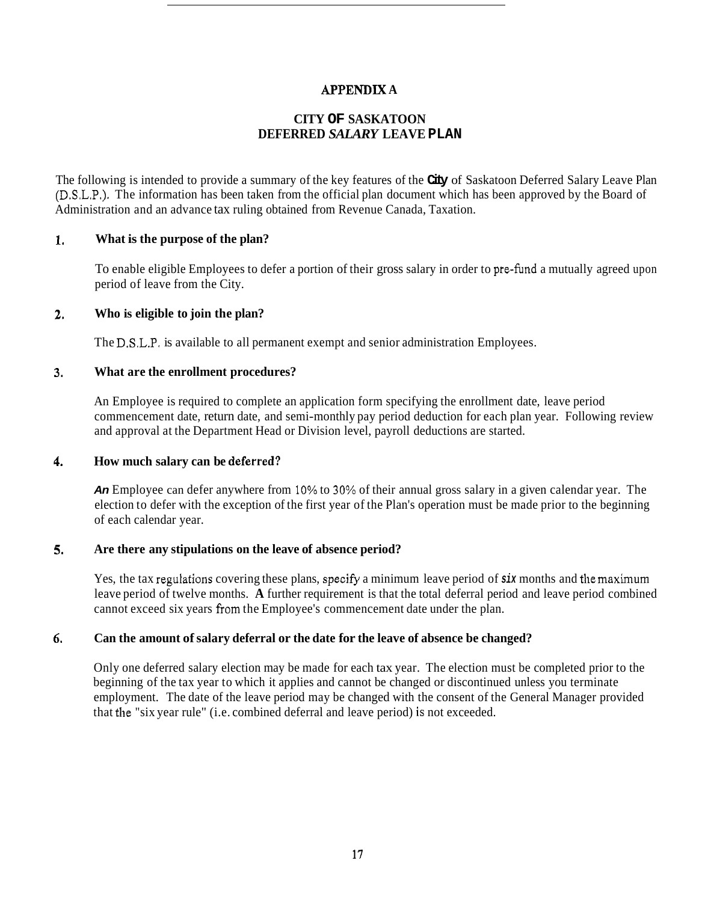#### **APPENDIX A**

#### **CITY OF SASKATOON DEFERRED** *SALARY* **LEAVE PLAN**

The following is intended to provide a summary of the key features of the **City** of Saskatoon Deferred Salary Leave Plan (D.S.L.P.). The information has been taken from the official plan document which has been approved by the Board of Administration and an advance tax ruling obtained from Revenue Canada, Taxation.

#### **1. What is the purpose of the plan?**

To enable eligible Employees to defer a portion of their gross salary in order to pre-fund a mutually agreed upon period of leave from the City.

#### **2. Who is eligible to join the plan?**

The D.S.L.P. is available to all permanent exempt and senior administration Employees.

#### **3. What are the enrollment procedures?**

An Employee is required to complete an application form specifying the enrollment date, leave period commencement date, return date, and semi-monthly pay period deduction for each plan year. Following review and approval at the Department Head or Division level, payroll deductions are started.

#### **4. How much salary can be deferred?**

*An* Employee can defer anywhere from 10% to **30%** of their annual gross salary in a given calendar year. The election to defer with the exception of the first year of the Plan's operation must be made prior to the beginning of each calendar year.

#### **5. Are there any stipulations on the leave of absence period?**

Yes, the tax regulations covering these plans, specify a minimum leave period of six months and the maximum leave period of twelve months. **A** further requirement is that the total deferral period and leave period combined cannot exceed six years from the Employee's commencement date under the plan.

#### *6.*  **Can the amount of salary deferral or the date for the leave of absence be changed?**

Only one deferred salary election may be made for each tax year. The election must be completed prior to the beginning of the tax year to which it applies and cannot be changed or discontinued unless you terminate employment. The date of the leave period may be changed with the consent of the General Manager provided that the "six year rule" (i.e. combined deferral and leave period) is not exceeded.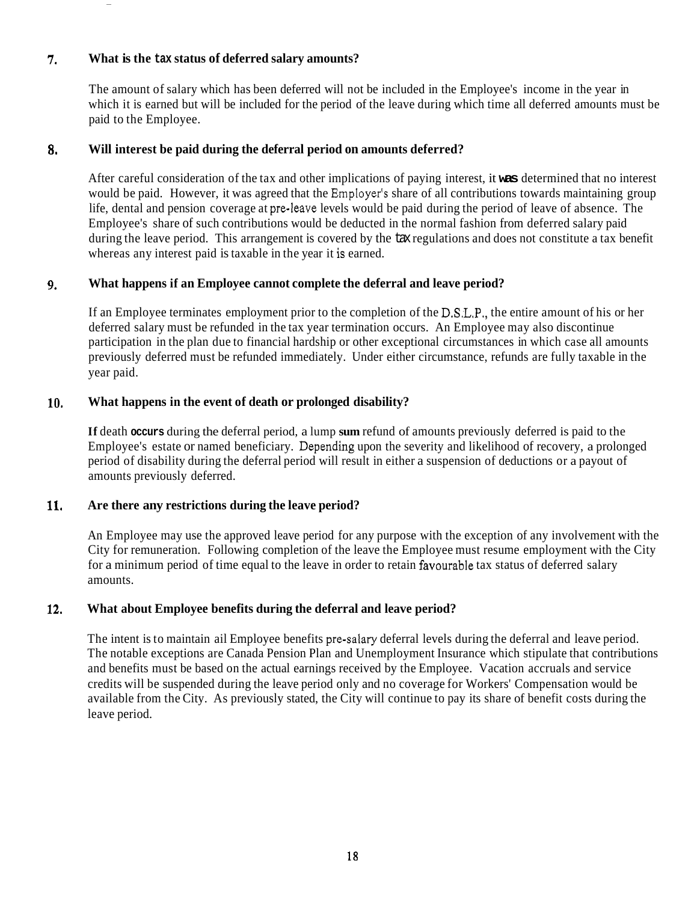#### **7. What is the tax status of deferred salary amounts?**

The amount of salary which has been deferred will not be included in the Employee's income in the year in which it is earned but will be included for the period of the leave during which time all deferred amounts must be paid to the Employee.

#### **8. Will interest be paid during the deferral period on amounts deferred?**

After careful consideration of the tax and other implications of paying interest, it **was** determined that no interest would be paid. However, it was agreed that the EmpIoyer's share of all contributions towards maintaining group life, dental and pension coverage at pre-leave levels would be paid during the period of leave of absence. The Employee's share of such contributions would be deducted in the normal fashion from deferred salary paid during the leave period. This arrangement is covered by the tax regulations and does not constitute a tax benefit whereas any interest paid is taxable in the year it is earned.

### **9. What happens if an Employee cannot complete the deferral and leave period?**

If an Employee terminates employment prior to the completion of the D.S.L.P., the entire amount of his or her deferred salary must be refunded in the tax year termination occurs. An Employee may also discontinue participation in the plan due to financial hardship or other exceptional circumstances in which case all amounts previously deferred must be refunded immediately. Under either circumstance, refunds are fully taxable in the year paid.

### **10. What happens in the event of death or prolonged disability?**

**If** death **occurs** during the deferral period, a lump **sum** refund of amounts previously deferred is paid to the Employee's estate or named beneficiary. Depending upon the severity and likelihood of recovery, a prolonged period of disability during the deferral period will result in either a suspension of deductions or a payout of amounts previously deferred.

#### **11. Are there any restrictions during the leave period?**

An Employee may use the approved leave period for any purpose with the exception of any involvement with the City for remuneration. Following completion of the leave the Employee must resume employment with the City for a minimum period of time equal to the leave in order to retain favourable tax status of deferred salary amounts.

#### **12. What about Employee benefits during the deferral and leave period?**

The intent is to maintain ail Employee benefits pre-salary deferral levels during the deferral and leave period. The notable exceptions are Canada Pension Plan and Unemployment Insurance which stipulate that contributions and benefits must be based on the actual earnings received by the Employee. Vacation accruals and service credits will be suspended during the leave period only and no coverage for Workers' Compensation would be available from the City. As previously stated, the City will continue to pay its share of benefit costs during the leave period.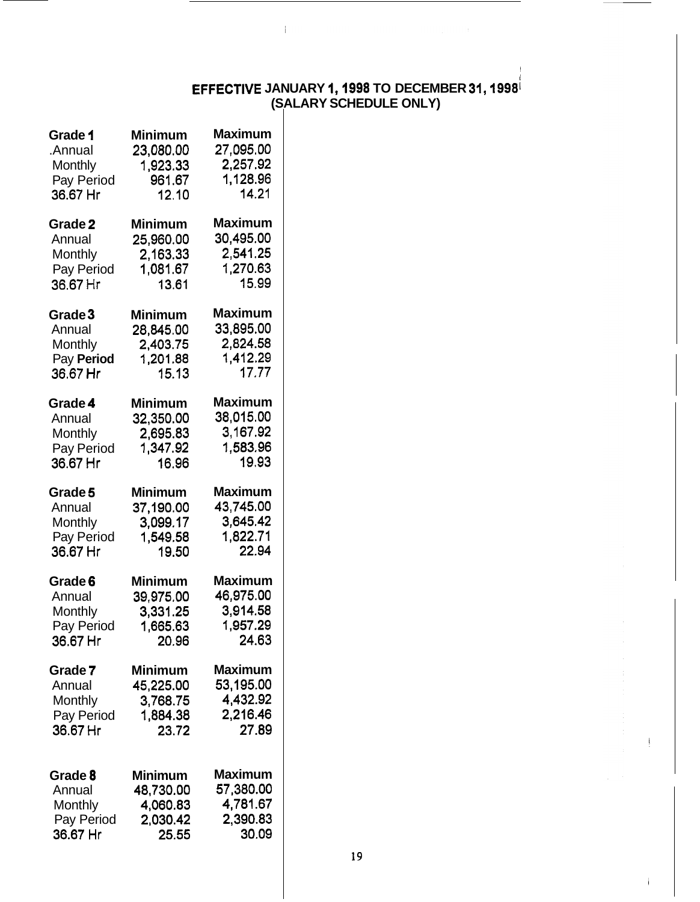#### **EFFECTiVE JANUARY 1,1998 TO DECEMBER 31, 4998 (SALARY SCHEDULE ONLY)**

 $\mathbf{1}$ 

| Grade 1    | Minimum        | Maximum        |
|------------|----------------|----------------|
| .Annual    | 23,080.00      | 27,095.00      |
| Monthly    | 1,923.33       | 2,257.92       |
| Pay Period | 961.67         | 1,128.96       |
| 36.67 Hr   | 12.10          | 14.21          |
| Grade 2    | Minimum        | Maximum        |
| Annual     | 25.960.00      | 30,495.00      |
| Monthly    | 2,163.33       | 2,541.25       |
| Pay Period | 1,081.67       | 1,270.63       |
| 36.67 Hr   | 13.61          | 15.99          |
| Grade 3    | <b>Minimum</b> | Maximum        |
| Annual     | 28,845.00      | 33,895.00      |
| Monthly    | 2,403.75       | 2,824.58       |
| Pay Period | 1,201.88       | 1,412.29       |
| 36.67 Hr   | 15.13          | 17.77          |
| Grade 4    | Minimum        | Maximum        |
| Annual     | 32,350.00      | 38,015.00      |
| Monthly    | 2,695.83       | 3,167.92       |
| Pay Period | 1,347.92       | 1,583.96       |
| 36.67 Hr   | 16.96          | 19.93          |
| Grade 5    | Minimum        | Maximum        |
| Annual     | 37,190.00      | 43,745.00      |
| Monthly    | 3,099.17       | 3,645.42       |
| Pay Period | 1,549.58       | 1,822.71       |
| 36.67 Hr   | 19.50          | 22.94          |
| Grade 6    | Minimum        | Maximum        |
| Annual     | 39,975,00      | 46,975.00      |
| Monthly    | 3,331.25       | 3,914.58       |
| Pay Period | 1,665.63       | 1,957.29       |
| 36.67 Hr   | 20.96          | 24.63          |
| Grade 7    | <b>Minimum</b> | <b>Maximum</b> |
| Annual     | 45,225.00      | 53,195.00      |
| Monthly    | 3,768.75       | 4,432.92       |
| Pay Period | 1,884.38       | 2,216.46       |
| 36.67 Hr   | 23.72          | 27.89          |
| Grade 8    | <b>Minimum</b> | <b>Maximum</b> |
| Annual     | 48,730.00      | 57,380.00      |
| Monthly    | 4,060.83       | 4,781.67       |
| Pay Period | 2,030.42       | 2,390.83       |
| 36.67 Hr   | 25.55          | 30.09          |

 $\mathfrak{f}$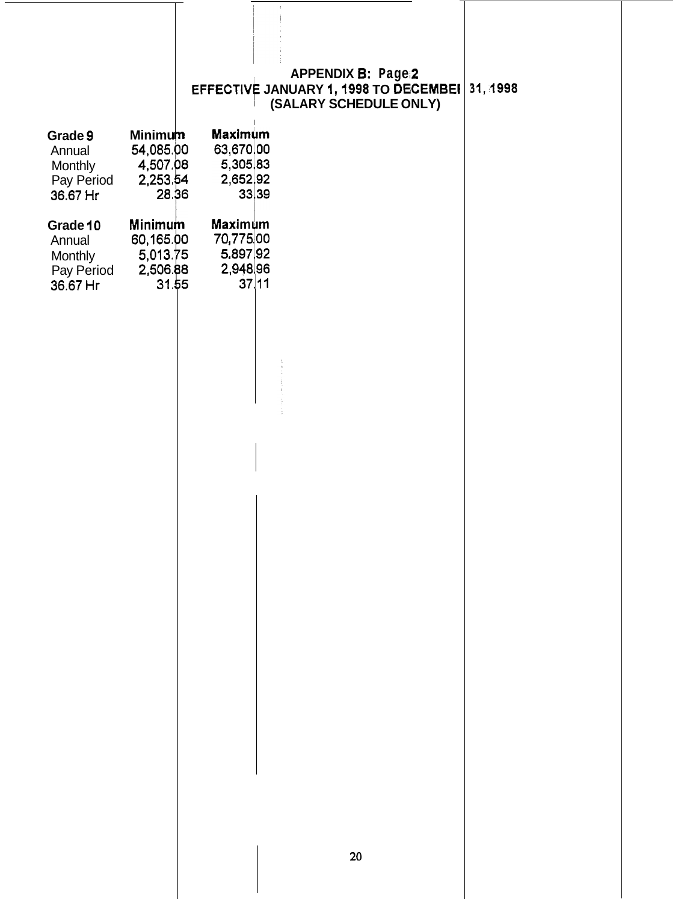#### **APPENDIX B: Page #2 EFFECTIVE JANUARY 1,1998 TO DECEMBEI**  <sup>~</sup>**(SALARY SCHEDULE ONLY) 31,1998**

| Grade 9<br>Annual<br>Monthly<br>Pay Period<br>36.67 Hr  | <b>Minimum</b><br>54,085.00<br>4,507.08<br>2,253.54<br>28.36 | Maximum<br>63,670,00<br>5,305,83<br>2,652,92<br>33,39 |  |
|---------------------------------------------------------|--------------------------------------------------------------|-------------------------------------------------------|--|
| Grade 10<br>Annual<br>Monthly<br>Pay Period<br>36.67 Hr | Minimum<br>60,165.00<br>5,013.75<br>2,506.88<br>31.55        | Maximum<br>70,775,00<br>5.897.92<br>2,948,96<br>37.11 |  |
|                                                         |                                                              |                                                       |  |
|                                                         |                                                              |                                                       |  |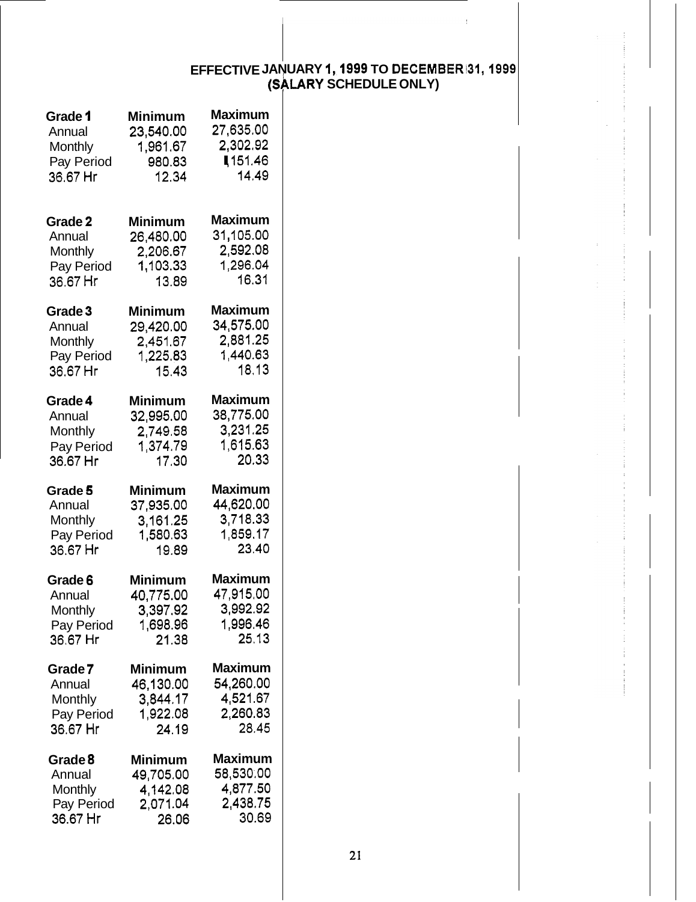#### **EFFECTIVE JANUARY 1,1999 TO DECEMBER;31,1999 (SbrLARY SCHEDULE ONLY)**

 $\mathbf{I}$ 

| Grade 1<br>Annual<br>Monthly | <b>Minimum</b><br>23,540.00<br>1,961.67<br>980.83 | Maximum<br>27,635.00<br>2,302.92<br>∎151.46 |
|------------------------------|---------------------------------------------------|---------------------------------------------|
| Pay Period<br>36.67 Hr       | 12.34                                             | 14.49                                       |
| Grade 2                      | Minimum                                           | Maximum                                     |
| Annual                       | 26,480.00                                         | 31,105.00                                   |
| Monthly                      | 2,206.67                                          | 2,592.08                                    |
| Pay Period                   | 1,103.33                                          | 1,296.04                                    |
| 36.67 Hr                     | 13.89                                             | 16.31                                       |
| Grade 3                      | Minimum                                           | Maximum                                     |
| Annual                       | 29,420.00                                         | 34,575.00                                   |
| Monthly                      | 2,451.67                                          | 2,881.25                                    |
| Pay Period                   | 1,225.83                                          | 1,440.63                                    |
| 36.67 Hr                     | 15.43                                             | 18.13                                       |
| Grade 4                      | Minimum                                           | Maximum                                     |
| Annual                       | 32,995.00                                         | 38,775.00                                   |
| Monthly                      | 2,749.58                                          | 3,231.25                                    |
| Pay Period                   | 1,374.79                                          | 1,615.63                                    |
| 36.67 Hr                     | 17.30                                             | 20.33                                       |
| Grade 5                      | Minimum                                           | Maximum                                     |
| Annual                       | 37,935.00                                         | 44,620.00                                   |
| Monthly                      | 3,161.25                                          | 3,718.33                                    |
| Pay Period                   | 1,580.63                                          | 1,859.17                                    |
| 36.67 Hr                     | 19.89                                             | 23.40                                       |
| Grade 6                      | <b>Minimum</b>                                    | <b>Maximum</b>                              |
| Annual                       | 40,775.00                                         | 47,915.00                                   |
| Monthly                      | 3,397.92                                          | 3,992.92                                    |
| Pay Period                   | 1,698.96                                          | 1,996.46                                    |
| 36.67 Hr                     | 21.38                                             | 25.13                                       |
| Grade <sub>7</sub>           | <b>Minimum</b>                                    | <b>Maximum</b>                              |
| Annual                       | 46,130.00                                         | 54,260.00                                   |
| Monthly                      | 3,844.17                                          | 4,521.67                                    |
| Pay Period                   | 1,922.08                                          | 2,260.83                                    |
| 36.67 Hr                     | 24.19                                             | 28.45                                       |
| Grade 8                      | <b>Minimum</b>                                    | <b>Maximum</b>                              |
| Annual                       | 49,705.00                                         | 58,530.00                                   |
| Monthly                      | 4,142.08                                          | 4,877.50                                    |
| Pay Period                   | 2,071.04                                          | 2,438.75                                    |
| 36.67 Hr                     | 26.06                                             | 30.69                                       |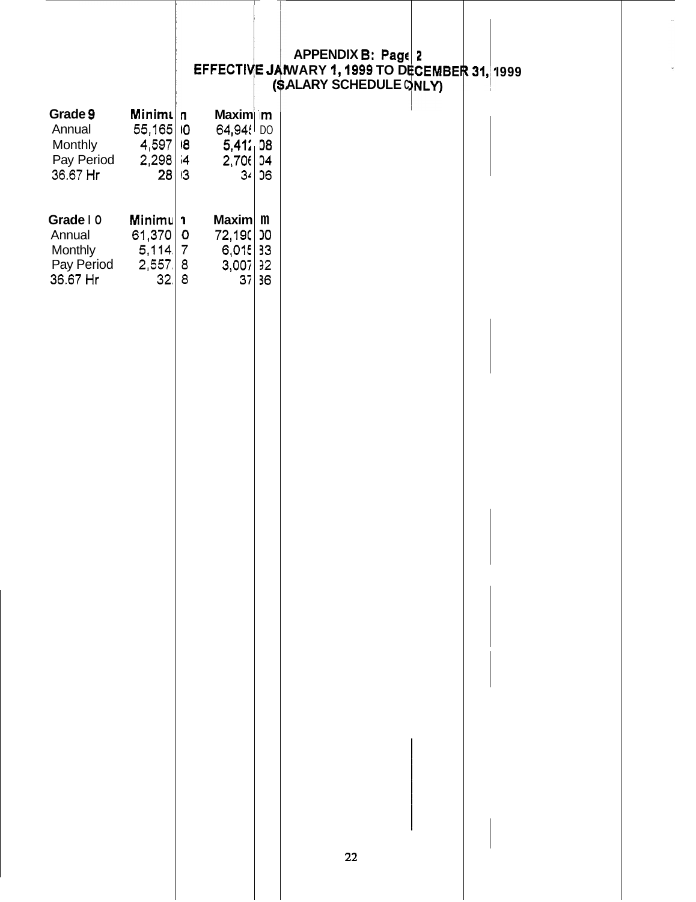#### **EFFECTI\ <sup>5</sup>***JI*  (ទុ **APPENDIX B: Pagc WARY 1, I999 TO DI ALARY SCHEDULE C 2**  2EMBER 31, 1999

| Grade 9<br>Annual<br>Monthly<br>Pay Period<br>36.67 Hr   | Minimu<br>55,165<br>4,597<br>2,298<br>28           | n<br>Ю<br>18<br> 4 <br>$\overline{3}$ | Maxim m<br>64.94! DO<br>5,412,08<br>$2,706$ 34 | 34 36          |    |
|----------------------------------------------------------|----------------------------------------------------|---------------------------------------|------------------------------------------------|----------------|----|
| Grade   0<br>Annual<br>Monthly<br>Pay Period<br>36.67 Hr | Minimu  1<br>61,370<br>$5,114$ 7<br>2,557 8<br>32. | $\mathbf 0$<br>$\bf 8$                | $Maxim$ m<br>72,190 00<br>6,015<br>3,007<br>37 | 33<br>32<br>36 |    |
|                                                          |                                                    |                                       |                                                |                | 22 |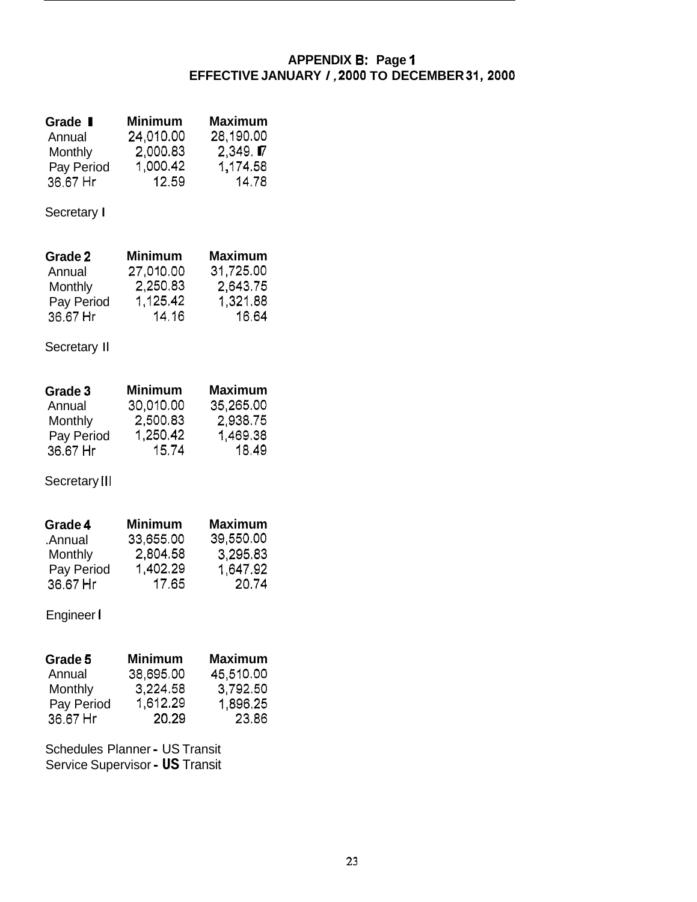# **APPENDIX B: Page** *I*  **EFFECTIVE JANUARY** *I,* **2000 TO DECEMBER 31,2000**

| Grade I    | <b>Minimum</b> | <b>Maximum</b>          |
|------------|----------------|-------------------------|
| Annual     | 24,010.00      | 28,190.00               |
| Monthly    | 2,000.83       | $2,349.$ $\blacksquare$ |
| Pay Period | 1,000.42       | 1,174.58                |
| 36.67 Hr   | 12.59          | 14.78                   |

# Secretary **I**

| Grade 2    | Minimum   | Maximum   |
|------------|-----------|-----------|
| Annual     | 27,010.00 | 31,725.00 |
| Monthly    | 2,250.83  | 2,643.75  |
| Pay Period | 1,125.42  | 1,321.88  |
| 36.67 Hr   | 14.16     | 16.64     |

# Secretary Il

| Grade 3    | <b>Minimum</b> | <b>Maximum</b> |
|------------|----------------|----------------|
| Annual     | 30,010.00      | 35,265,00      |
| Monthly    | 2,500.83       | 2,938.75       |
| Pay Period | 1,250.42       | 1,469.38       |
| 36.67 Hr   | 15.74          | 18.49          |

# Secretary Ill

| Grade 4    | <b>Minimum</b> | <b>Maximum</b> |
|------------|----------------|----------------|
| .Annual    | 33,655.00      | 39,550.00      |
| Monthly    | 2,804.58       | 3,295.83       |
| Pay Period | 1,402.29       | 1,647.92       |
| 36.67 Hr   | 17.65          | 20.74          |

# Engineer I

| Grade 5    | <b>Minimum</b> | <b>Maximum</b> |
|------------|----------------|----------------|
| Annual     | 38,695.00      | 45,510.00      |
| Monthly    | 3,224.58       | 3,792.50       |
| Pay Period | 1,612.29       | 1,896.25       |
| 36.67 Hr   | 20.29          | 23.86          |

Schedules Planner - US Transit Service Supervisor - **US** Transit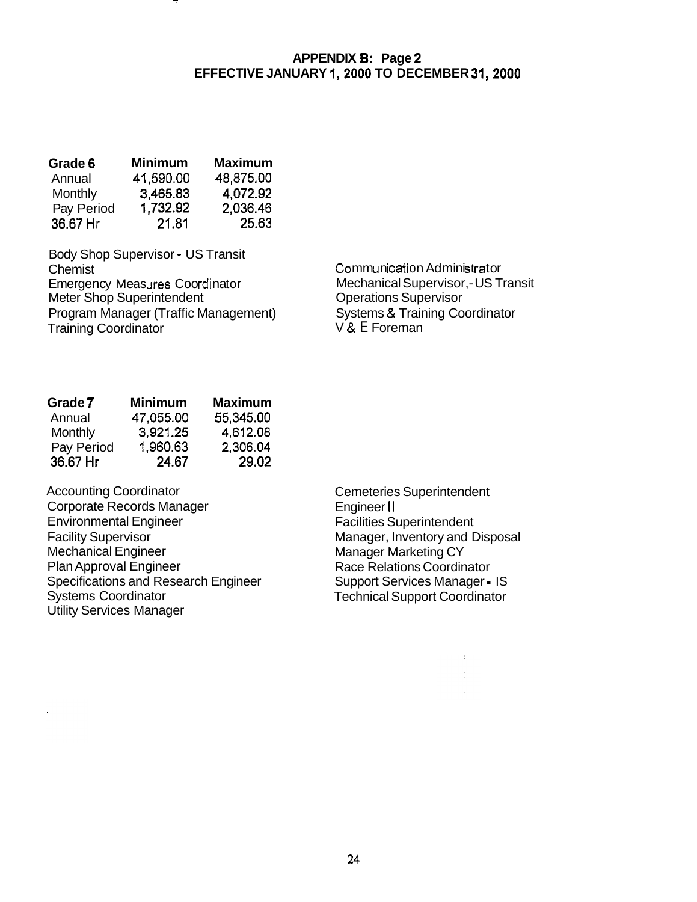#### **APPENDIX B: Page 2 EFFECTIVE JANUARY 1,2000 TO DECEMBER 31,2000**

| Grade 6    | <b>Minimum</b> | <b>Maximum</b> |
|------------|----------------|----------------|
| Annual     | 41,590.00      | 48,875.00      |
| Monthly    | 3,465.83       | 4,072.92       |
| Pay Period | 1,732.92       | 2,036.46       |
| 36.67 Hr   | 21.81          | 25.63          |

Body Shop Supervisor - US Transit Chemist Emergency Measures Coordinator Meter Shop Superintendent **Operations** Supervisor Program Manager (Traffic Management) Training Coordinator

**Communication Administrator** Mechanical Supervisor,- US Transit Systems & Training Coordinator V & E Foreman

| Grade 7    | <b>Minimum</b> | <b>Maximum</b> |
|------------|----------------|----------------|
| Annual     | 47,055.00      | 55,345.00      |
| Monthly    | 3,921.25       | 4,612.08       |
| Pay Period | 1,960.63       | 2,306.04       |
| 36.67 Hr   | 24.67          | 29.02          |

Accounting Coordinator Corporate Records Manager Environmental Engineer Facility Supervisor Mechanical Engineer Plan Approval Engineer Specifications and Research Engineer Systems Coordinator Utility Services Manager

Cemeteries Superintendent Engineer II Facilities Superintendent Manager, Inventory and Disposal Manager Marketing CY Race Relations Coordinator Support Services Manager - IS Technical Support Coordinator

 $\frac{1}{2}$  .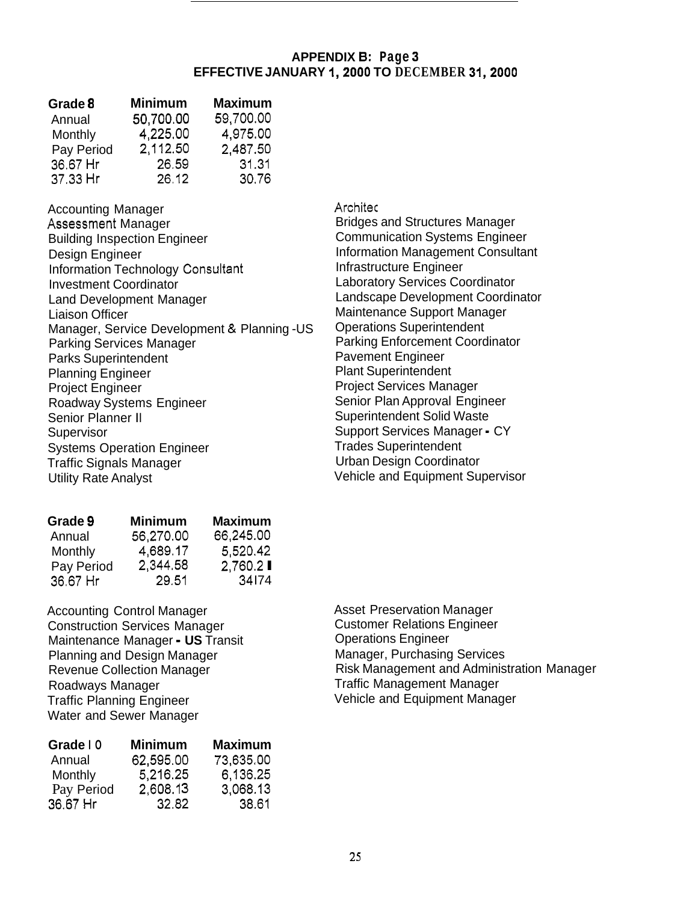#### **APPENDIX 6: Page 3 EFFECTIVE JANUARY 1,2000 TO DECEMBER 31,2000**

| Grade 8    | <b>Minimum</b> | <b>Maximum</b> |
|------------|----------------|----------------|
| Annual     | 50,700.00      | 59,700.00      |
| Monthly    | 4,225.00       | 4,975.00       |
| Pay Period | 2,112.50       | 2,487.50       |
| 36.67 Hr   | 26.59          | 31.31          |
| 37.33 Hr   | 26.12          | 30.76          |

Accounting Manager Assessment Manager Building Inspection Engineer Design Engineer Information Technology Consultant Investment Coordinator Land Development Manager Liaison Officer Manager, Service Development & Planning -US Parking Services Manager Parks Superintendent Planning Engineer Project Engineer Roadway Systems Engineer Senior Planner II **Supervisor** Systems Operation Engineer Traffic Signals Manager Utility Rate Analyst

| Grade 9    | <b>Minimum</b> | <b>Maximum</b> |
|------------|----------------|----------------|
| Annual     | 56,270.00      | 66,245.00      |
| Monthly    | 4,689.17       | 5 520.42       |
| Pay Period | 2,344.58       | 2,760.2        |
| 36.67 Hr   | 29.51          | 34174          |

Accounting Control Manager Construction Services Manager Maintenance Manager - **US** Transit Planning and Design Manager Revenue Collection Manager Roadways Manager Traffic Planning Engineer Water and Sewer Manager

| Grade   0  | <b>Minimum</b> | <b>Maximum</b> |
|------------|----------------|----------------|
| Annual     | 62,595.00      | 73,635.00      |
| Monthly    | 5,216,25       | 6,136.25       |
| Pay Period | 2,608.13       | 3,068.13       |
| 36.67 Hr   | 32.82          | 38.61          |

Architec

Bridges and Structures Manager Communication Systems Engineer Information Management Consultant Infrastructure Engineer Laboratory Services Coordinator Landscape Development Coordinator Maintenance Support Manager Operations Superintendent Parking Enforcement Coordinator Pavement Engineer Plant Superintendent Project Services Manager Senior Plan Approval Engineer Superintendent Solid Waste Support Services Manager - CY Trades Superintendent Urban Design Coordinator Vehicle and Equipment Supervisor

Asset Preservation Manager Customer Relations Engineer Operations Engineer Manager, Purchasing Services Risk Management and Administration Manager Traffic Management Manager Vehicle and Equipment Manager